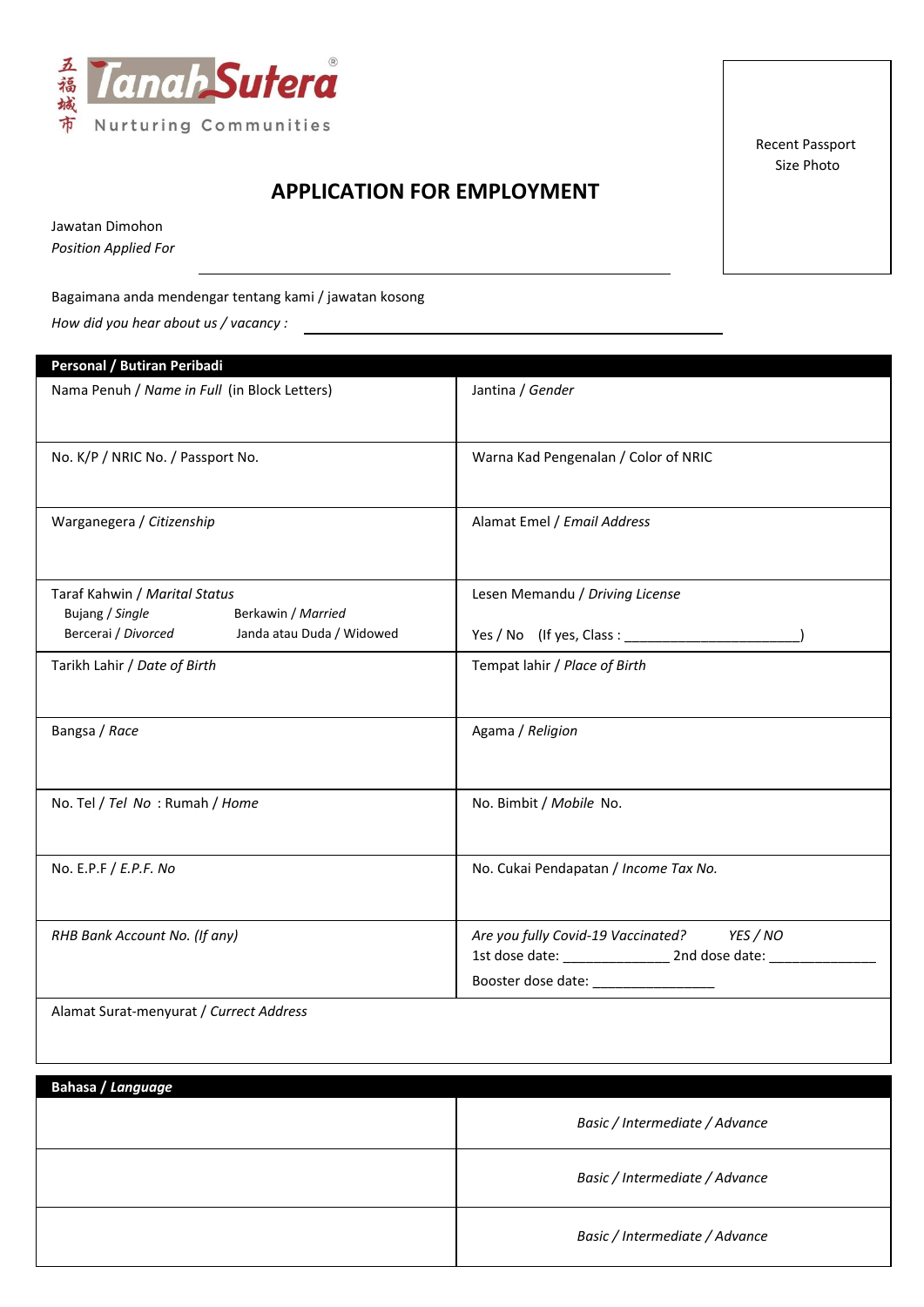

Recent Passport Size Photo

## **APPLICATION FOR EMPLOYMENT**

Jawatan Dimohon

*Position Applied For* 

## Bagaimana anda mendengar tentang kami / jawatan kosong

*How did you hear about us / vacancy :*

| Personal / Butiran Peribadi                                            |                                             |  |  |
|------------------------------------------------------------------------|---------------------------------------------|--|--|
| Nama Penuh / Name in Full (in Block Letters)                           | Jantina / Gender                            |  |  |
| No. K/P / NRIC No. / Passport No.                                      | Warna Kad Pengenalan / Color of NRIC        |  |  |
| Warganegera / Citizenship                                              | Alamat Emel / Email Address                 |  |  |
| Taraf Kahwin / Marital Status<br>Bujang / Single<br>Berkawin / Married | Lesen Memandu / Driving License             |  |  |
| Bercerai / Divorced Janda atau Duda / Widowed                          |                                             |  |  |
| Tarikh Lahir / Date of Birth                                           | Tempat lahir / Place of Birth               |  |  |
| Bangsa / Race                                                          | Agama / Religion                            |  |  |
| No. Tel / Tel No: Rumah / Home                                         | No. Bimbit / Mobile No.                     |  |  |
| No. E.P.F / E.P.F. No                                                  | No. Cukai Pendapatan / Income Tax No.       |  |  |
| RHB Bank Account No. (If any)                                          | Are you fully Covid-19 Vaccinated? YES / NO |  |  |
|                                                                        | Booster dose date: ________________         |  |  |
| Alamat Surat-menyurat / Currect Address                                |                                             |  |  |

| Bahasa / Language |                                |
|-------------------|--------------------------------|
|                   | Basic / Intermediate / Advance |
|                   | Basic / Intermediate / Advance |
|                   | Basic / Intermediate / Advance |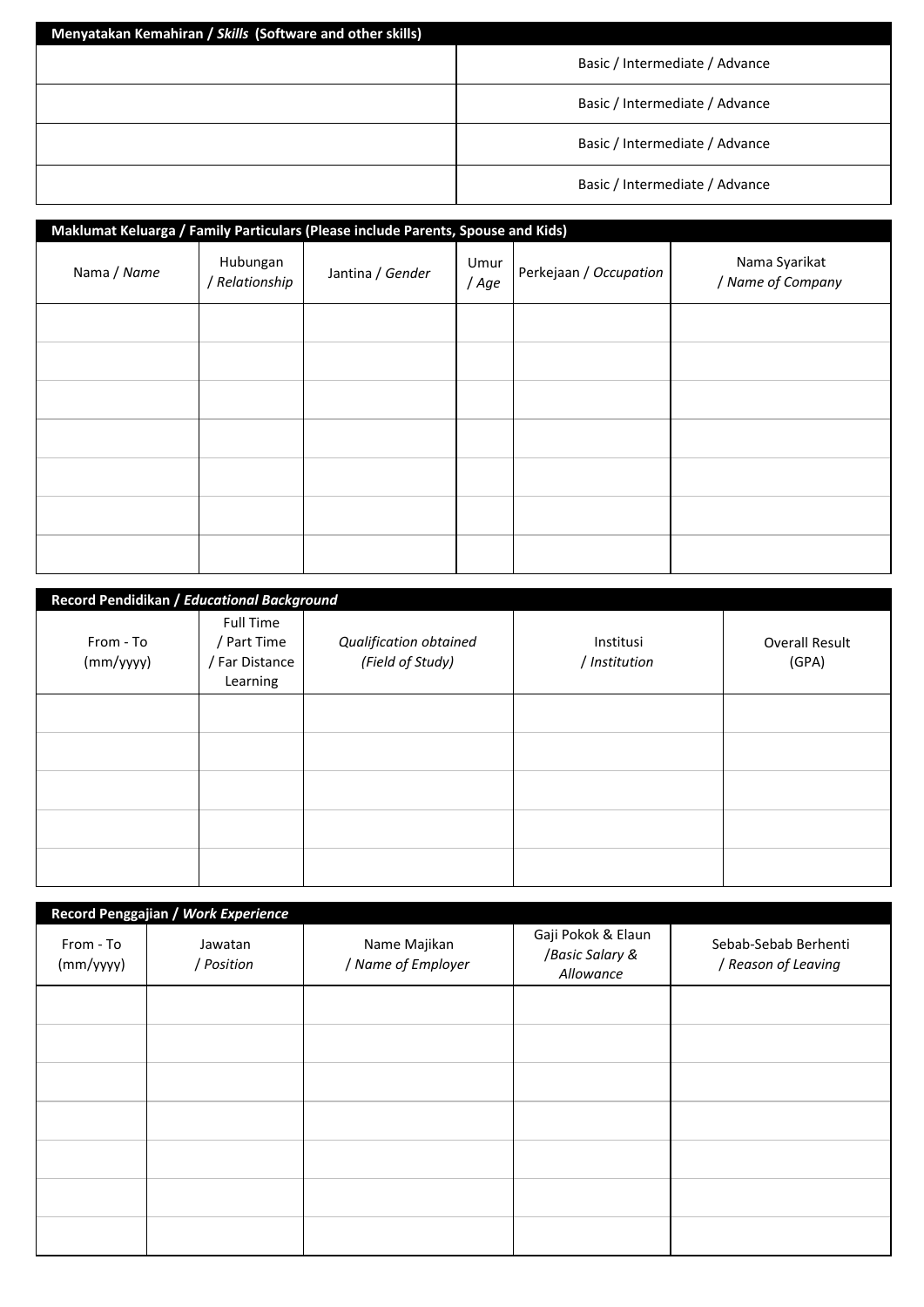| Menyatakan Kemahiran / Skills (Software and other skills) |                                |  |  |  |
|-----------------------------------------------------------|--------------------------------|--|--|--|
|                                                           | Basic / Intermediate / Advance |  |  |  |
|                                                           | Basic / Intermediate / Advance |  |  |  |
|                                                           | Basic / Intermediate / Advance |  |  |  |
|                                                           | Basic / Intermediate / Advance |  |  |  |

| Maklumat Keluarga / Family Particulars (Please include Parents, Spouse and Kids) |                            |                  |               |                        |                                    |
|----------------------------------------------------------------------------------|----------------------------|------------------|---------------|------------------------|------------------------------------|
| Nama / Name                                                                      | Hubungan<br>/ Relationship | Jantina / Gender | Umur<br>/ Age | Perkejaan / Occupation | Nama Syarikat<br>/ Name of Company |
|                                                                                  |                            |                  |               |                        |                                    |
|                                                                                  |                            |                  |               |                        |                                    |
|                                                                                  |                            |                  |               |                        |                                    |
|                                                                                  |                            |                  |               |                        |                                    |
|                                                                                  |                            |                  |               |                        |                                    |
|                                                                                  |                            |                  |               |                        |                                    |
|                                                                                  |                            |                  |               |                        |                                    |

| Record Pendidikan / Educational Background |                                                               |                                            |                            |                                |
|--------------------------------------------|---------------------------------------------------------------|--------------------------------------------|----------------------------|--------------------------------|
| From - To<br>(mm/yyyy)                     | <b>Full Time</b><br>/ Part Time<br>/ Far Distance<br>Learning | Qualification obtained<br>(Field of Study) | Institusi<br>/ Institution | <b>Overall Result</b><br>(GPA) |
|                                            |                                                               |                                            |                            |                                |
|                                            |                                                               |                                            |                            |                                |
|                                            |                                                               |                                            |                            |                                |
|                                            |                                                               |                                            |                            |                                |
|                                            |                                                               |                                            |                            |                                |

| Record Penggajian / Work Experience |                       |                                    |                                                    |                                             |  |
|-------------------------------------|-----------------------|------------------------------------|----------------------------------------------------|---------------------------------------------|--|
| From - To<br>(mm/yyyy)              | Jawatan<br>/ Position | Name Majikan<br>/ Name of Employer | Gaji Pokok & Elaun<br>/Basic Salary &<br>Allowance | Sebab-Sebab Berhenti<br>/ Reason of Leaving |  |
|                                     |                       |                                    |                                                    |                                             |  |
|                                     |                       |                                    |                                                    |                                             |  |
|                                     |                       |                                    |                                                    |                                             |  |
|                                     |                       |                                    |                                                    |                                             |  |
|                                     |                       |                                    |                                                    |                                             |  |
|                                     |                       |                                    |                                                    |                                             |  |
|                                     |                       |                                    |                                                    |                                             |  |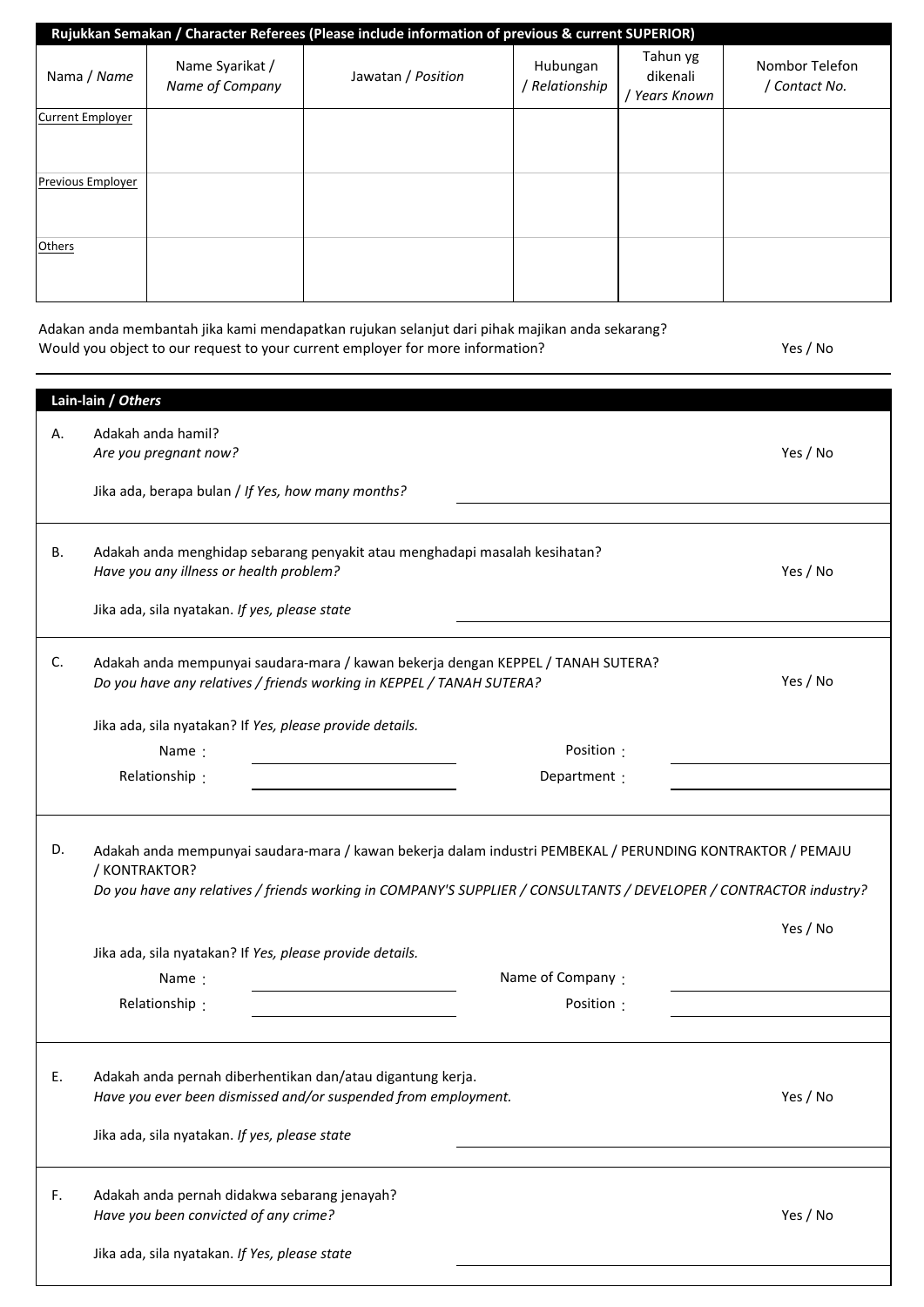| Rujukkan Semakan / Character Referees (Please include information of previous & current SUPERIOR) |                                    |                    |                          |                                            |                               |
|---------------------------------------------------------------------------------------------------|------------------------------------|--------------------|--------------------------|--------------------------------------------|-------------------------------|
| Nama / Name                                                                                       | Name Syarikat /<br>Name of Company | Jawatan / Position | Hubungan<br>Relationship | Tahun yg<br>dikenali<br><b>Years Known</b> | Nombor Telefon<br>Contact No. |
| <b>Current Employer</b>                                                                           |                                    |                    |                          |                                            |                               |
| Previous Employer                                                                                 |                                    |                    |                          |                                            |                               |
| Others                                                                                            |                                    |                    |                          |                                            |                               |
|                                                                                                   |                                    |                    |                          |                                            |                               |

| Adakan anda membantah jika kami mendapatkan rujukan selanjut dari pihak majikan anda sekarang? |          |
|------------------------------------------------------------------------------------------------|----------|
| Would you object to our request to your current employer for more information?                 | Yes / No |

|    | Lain-lain / Others                                                                                                                                                                                                                                |              |          |
|----|---------------------------------------------------------------------------------------------------------------------------------------------------------------------------------------------------------------------------------------------------|--------------|----------|
| А. | Adakah anda hamil?                                                                                                                                                                                                                                |              |          |
|    | Are you pregnant now?                                                                                                                                                                                                                             |              | Yes / No |
|    |                                                                                                                                                                                                                                                   |              |          |
|    | Jika ada, berapa bulan / If Yes, how many months?                                                                                                                                                                                                 |              |          |
|    |                                                                                                                                                                                                                                                   |              |          |
|    |                                                                                                                                                                                                                                                   |              |          |
| В. | Adakah anda menghidap sebarang penyakit atau menghadapi masalah kesihatan?                                                                                                                                                                        |              |          |
|    | Have you any illness or health problem?                                                                                                                                                                                                           |              | Yes / No |
|    |                                                                                                                                                                                                                                                   |              |          |
|    | Jika ada, sila nyatakan. If yes, please state                                                                                                                                                                                                     |              |          |
|    |                                                                                                                                                                                                                                                   |              |          |
|    |                                                                                                                                                                                                                                                   |              |          |
| C. | Adakah anda mempunyai saudara-mara / kawan bekerja dengan KEPPEL / TANAH SUTERA?                                                                                                                                                                  |              |          |
|    | Do you have any relatives / friends working in KEPPEL / TANAH SUTERA?                                                                                                                                                                             |              | Yes / No |
|    |                                                                                                                                                                                                                                                   |              |          |
|    | Jika ada, sila nyatakan? If Yes, please provide details.                                                                                                                                                                                          |              |          |
|    | Name:                                                                                                                                                                                                                                             | Position :   |          |
|    |                                                                                                                                                                                                                                                   |              |          |
|    | Relationship:                                                                                                                                                                                                                                     | Department : |          |
|    |                                                                                                                                                                                                                                                   |              |          |
| D. | Adakah anda mempunyai saudara-mara / kawan bekerja dalam industri PEMBEKAL / PERUNDING KONTRAKTOR / PEMAJU<br>/ KONTRAKTOR?<br>Do you have any relatives / friends working in COMPANY'S SUPPLIER / CONSULTANTS / DEVELOPER / CONTRACTOR industry? |              |          |
|    |                                                                                                                                                                                                                                                   |              | Yes / No |
|    | Jika ada, sila nyatakan? If Yes, please provide details.                                                                                                                                                                                          |              |          |
|    |                                                                                                                                                                                                                                                   |              |          |
|    | Name of Company:<br>Name:                                                                                                                                                                                                                         |              |          |
|    | Relationship:                                                                                                                                                                                                                                     | Position :   |          |
|    |                                                                                                                                                                                                                                                   |              |          |
| Ł. | Adakah anda pernah diberhentikan dan/atau digantung kerja.<br>Have you ever been dismissed and/or suspended from employment.<br>Jika ada, sila nyatakan. If yes, please state                                                                     |              | Yes / No |
|    |                                                                                                                                                                                                                                                   |              |          |
| F. | Adakah anda pernah didakwa sebarang jenayah?<br>Have you been convicted of any crime?<br>Jika ada, sila nyatakan. If Yes, please state                                                                                                            |              | Yes / No |
|    |                                                                                                                                                                                                                                                   |              |          |